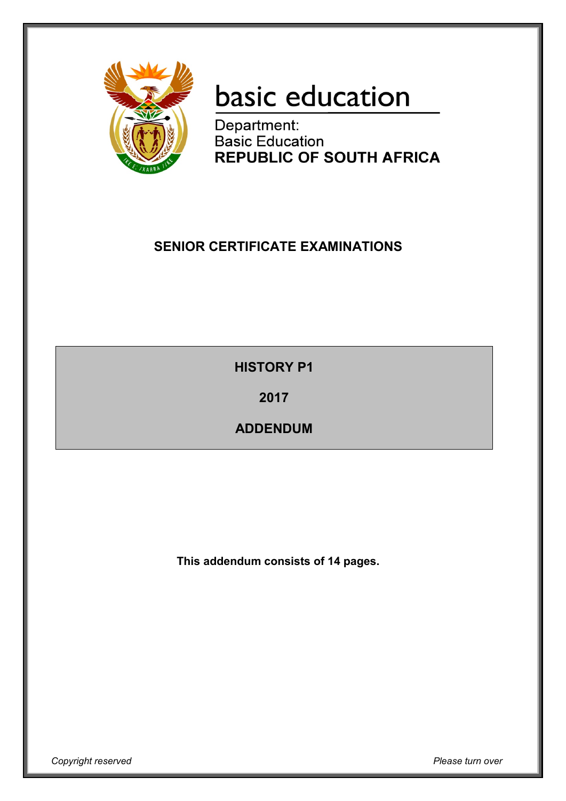

# basic education

Department: **Basic Education REPUBLIC OF SOUTH AFRICA** 

## **SENIOR CERTIFICATE EXAMINATIONS**

**HISTORY P1**

**2017**

**ADDENDUM**

**This addendum consists of 14 pages.**

*Copyright reserved Please turn over*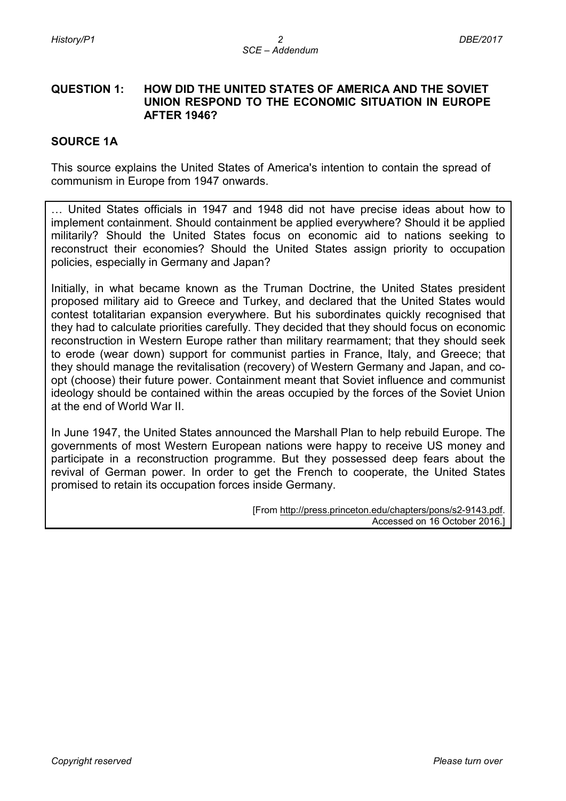#### **QUESTION 1: HOW DID THE UNITED STATES OF AMERICA AND THE SOVIET UNION RESPOND TO THE ECONOMIC SITUATION IN EUROPE AFTER 1946?**

#### **SOURCE 1A**

This source explains the United States of America's intention to contain the spread of communism in Europe from 1947 onwards.

… United States officials in 1947 and 1948 did not have precise ideas about how to implement containment. Should containment be applied everywhere? Should it be applied militarily? Should the United States focus on economic aid to nations seeking to reconstruct their economies? Should the United States assign priority to occupation policies, especially in Germany and Japan?

Initially, in what became known as the Truman Doctrine, the United States president proposed military aid to Greece and Turkey, and declared that the United States would contest totalitarian expansion everywhere. But his subordinates quickly recognised that they had to calculate priorities carefully. They decided that they should focus on economic reconstruction in Western Europe rather than military rearmament; that they should seek to erode (wear down) support for communist parties in France, Italy, and Greece; that they should manage the revitalisation (recovery) of Western Germany and Japan, and coopt (choose) their future power. Containment meant that Soviet influence and communist ideology should be contained within the areas occupied by the forces of the Soviet Union at the end of World War II.

In June 1947, the United States announced the Marshall Plan to help rebuild Europe. The governments of most Western European nations were happy to receive US money and participate in a reconstruction programme. But they possessed deep fears about the revival of German power. In order to get the French to cooperate, the United States promised to retain its occupation forces inside Germany.

> [From [http://press.princeton.edu/chapters/pons/s2-9143.pdf.](http://press.princeton.edu/chapters/pons/s2-9143.pdf) Accessed on 16 October 2016.]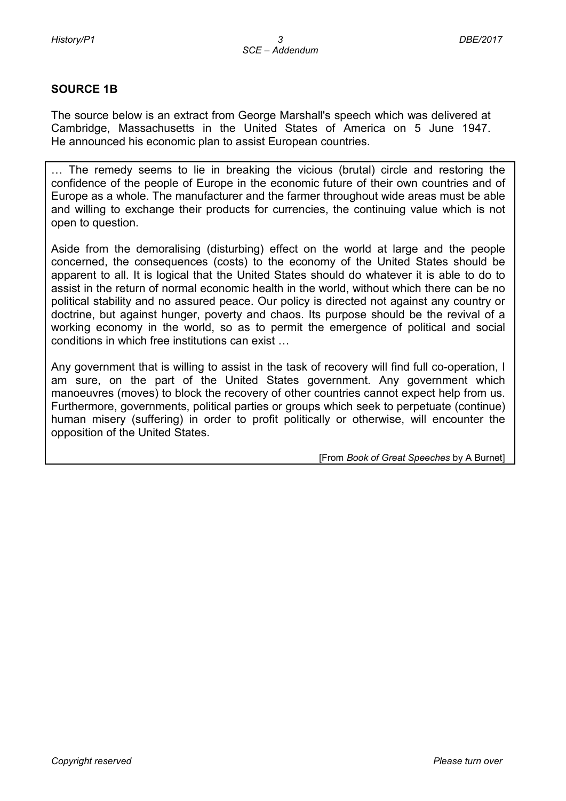#### **SOURCE 1B**

The source below is an extract from George Marshall's speech which was delivered at Cambridge, Massachusetts in the United States of America on 5 June 1947. He announced his economic plan to assist European countries.

… The remedy seems to lie in breaking the vicious (brutal) circle and restoring the confidence of the people of Europe in the economic future of their own countries and of Europe as a whole. The manufacturer and the farmer throughout wide areas must be able and willing to exchange their products for currencies, the continuing value which is not open to question.

Aside from the demoralising (disturbing) effect on the world at large and the people concerned, the consequences (costs) to the economy of the United States should be apparent to all. It is logical that the United States should do whatever it is able to do to assist in the return of normal economic health in the world, without which there can be no political stability and no assured peace. Our policy is directed not against any country or doctrine, but against hunger, poverty and chaos. Its purpose should be the revival of a working economy in the world, so as to permit the emergence of political and social conditions in which free institutions can exist …

Any government that is willing to assist in the task of recovery will find full co-operation, I am sure, on the part of the United States government. Any government which manoeuvres (moves) to block the recovery of other countries cannot expect help from us. Furthermore, governments, political parties or groups which seek to perpetuate (continue) human misery (suffering) in order to profit politically or otherwise, will encounter the opposition of the United States.

[From *Book of Great Speeches* by A Burnet]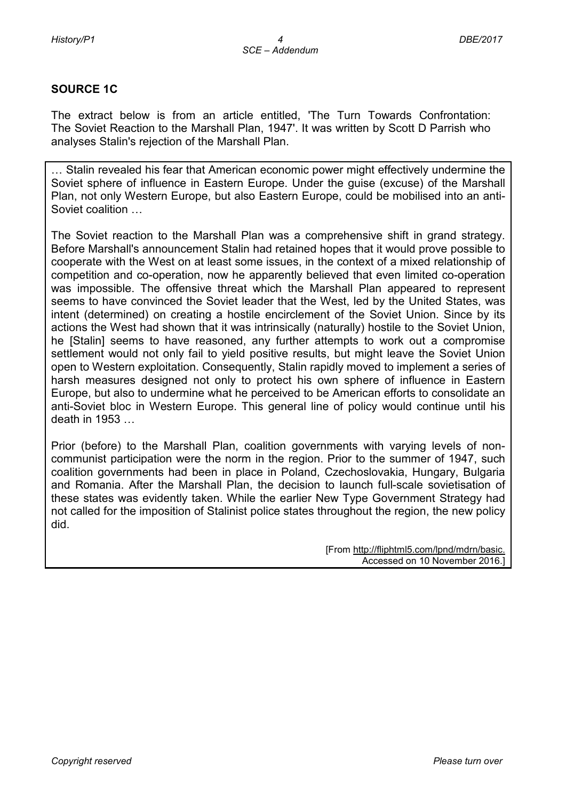#### **SOURCE 1C**

The extract below is from an article entitled, 'The Turn Towards Confrontation: The Soviet Reaction to the Marshall Plan, 1947'. It was written by Scott D Parrish who analyses Stalin's rejection of the Marshall Plan.

… Stalin revealed his fear that American economic power might effectively undermine the Soviet sphere of influence in Eastern Europe. Under the guise (excuse) of the Marshall Plan, not only Western Europe, but also Eastern Europe, could be mobilised into an anti-Soviet coalition …

The Soviet reaction to the Marshall Plan was a comprehensive shift in grand strategy. Before Marshall's announcement Stalin had retained hopes that it would prove possible to cooperate with the West on at least some issues, in the context of a mixed relationship of competition and co-operation, now he apparently believed that even limited co-operation was impossible. The offensive threat which the Marshall Plan appeared to represent seems to have convinced the Soviet leader that the West, led by the United States, was intent (determined) on creating a hostile encirclement of the Soviet Union. Since by its actions the West had shown that it was intrinsically (naturally) hostile to the Soviet Union, he [Stalin] seems to have reasoned, any further attempts to work out a compromise settlement would not only fail to yield positive results, but might leave the Soviet Union open to Western exploitation. Consequently, Stalin rapidly moved to implement a series of harsh measures designed not only to protect his own sphere of influence in Eastern Europe, but also to undermine what he perceived to be American efforts to consolidate an anti-Soviet bloc in Western Europe. This general line of policy would continue until his death in 1953 …

Prior (before) to the Marshall Plan, coalition governments with varying levels of noncommunist participation were the norm in the region. Prior to the summer of 1947, such coalition governments had been in place in Poland, Czechoslovakia, Hungary, Bulgaria and Romania. After the Marshall Plan, the decision to launch full-scale sovietisation of these states was evidently taken. While the earlier New Type Government Strategy had not called for the imposition of Stalinist police states throughout the region, the new policy did.

> [From [http://fliphtml5.com/lpnd/mdrn/basic.](http://fliphtml5.com/lpnd/mdrn/basic) Accessed on 10 November 2016.]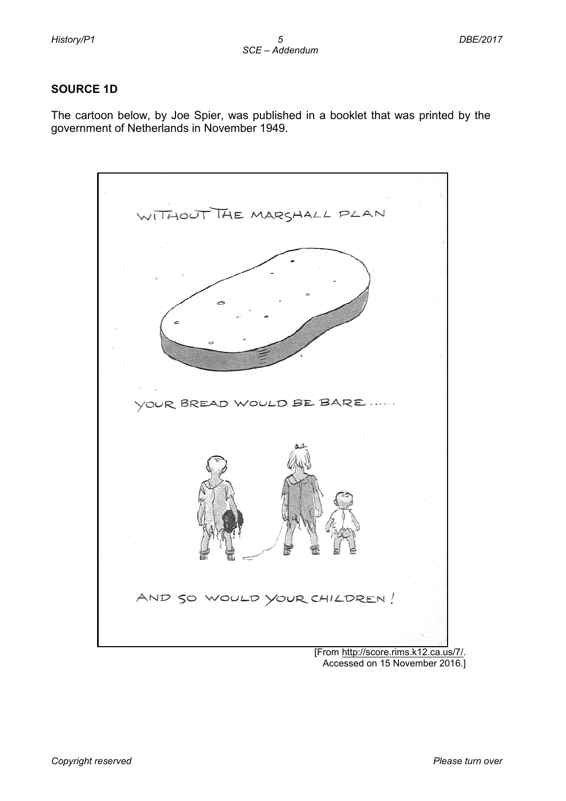#### **SOURCE 1D**

The cartoon below, by Joe Spier, was published in a booklet that was printed by the government of Netherlands in November 1949.



Accessed on 15 November 2016.]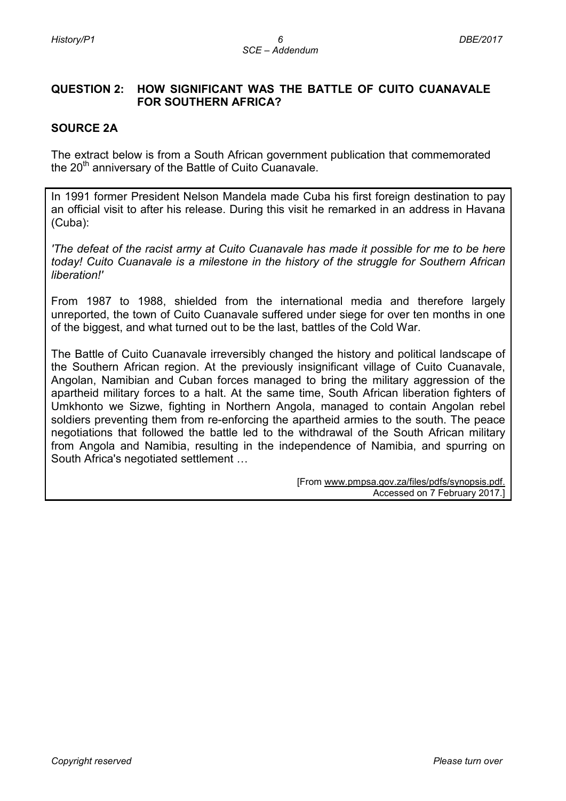#### **QUESTION 2: HOW SIGNIFICANT WAS THE BATTLE OF CUITO CUANAVALE FOR SOUTHERN AFRICA?**

#### **SOURCE 2A**

The extract below is from a South African government publication that commemorated the  $20<sup>th</sup>$  anniversary of the Battle of Cuito Cuanavale.

In 1991 former President Nelson Mandela made Cuba his first foreign destination to pay an official visit to after his release. During this visit he remarked in an address in Havana (Cuba):

*'The defeat of the racist army at Cuito Cuanavale has made it possible for me to be here today! Cuito Cuanavale is a milestone in the history of the struggle for Southern African liberation!'*

From 1987 to 1988, shielded from the international media and therefore largely unreported, the town of Cuito Cuanavale suffered under siege for over ten months in one of the biggest, and what turned out to be the last, battles of the Cold War.

The Battle of Cuito Cuanavale irreversibly changed the history and political landscape of the Southern African region. At the previously insignificant village of Cuito Cuanavale, Angolan, Namibian and Cuban forces managed to bring the military aggression of the apartheid military forces to a halt. At the same time, South African liberation fighters of Umkhonto we Sizwe, fighting in Northern Angola, managed to contain Angolan rebel soldiers preventing them from re-enforcing the apartheid armies to the south. The peace negotiations that followed the battle led to the withdrawal of the South African military from Angola and Namibia, resulting in the independence of Namibia, and spurring on South Africa's negotiated settlement …

> [From [www.pmpsa.gov.za/files/pdfs/synopsis.pdf.](http://www.pmpsa.gov.za/files/pdfs/synopsis.pdf) Accessed on 7 February 2017.]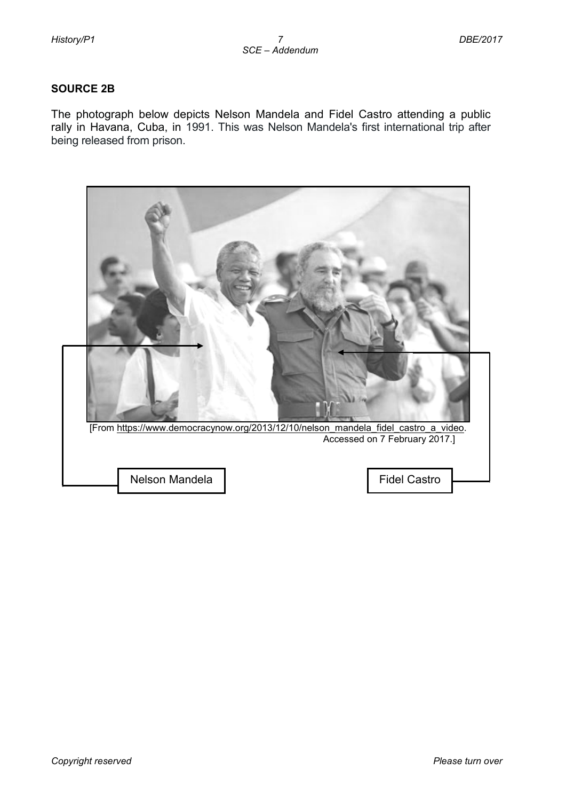#### **SOURCE 2B**

The photograph below depicts Nelson Mandela and Fidel Castro attending a public rally in Havana, Cuba, in 1991. This was Nelson Mandela's first international trip after being released from prison.

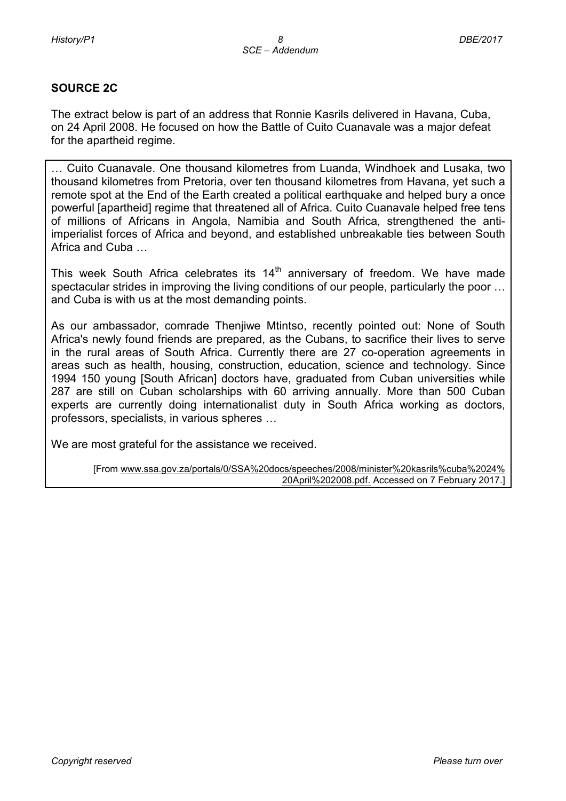#### **SOURCE 2C**

The extract below is part of an address that Ronnie Kasrils delivered in Havana, Cuba, on 24 April 2008. He focused on how the Battle of Cuito Cuanavale was a major defeat for the apartheid regime.

… Cuito Cuanavale. One thousand kilometres from Luanda, Windhoek and Lusaka, two thousand kilometres from Pretoria, over ten thousand kilometres from Havana, yet such a remote spot at the End of the Earth created a political earthquake and helped bury a once powerful [apartheid] regime that threatened all of Africa. Cuito Cuanavale helped free tens of millions of Africans in Angola, Namibia and South Africa, strengthened the antiimperialist forces of Africa and beyond, and established unbreakable ties between South Africa and Cuba …

This week South Africa celebrates its  $14<sup>th</sup>$  anniversary of freedom. We have made spectacular strides in improving the living conditions of our people, particularly the poor … and Cuba is with us at the most demanding points.

As our ambassador, comrade Thenjiwe Mtintso, recently pointed out: None of South Africa's newly found friends are prepared, as the Cubans, to sacrifice their lives to serve in the rural areas of South Africa. Currently there are 27 co-operation agreements in areas such as health, housing, construction, education, science and technology. Since 1994 150 young [South African] doctors have, graduated from Cuban universities while 287 are still on Cuban scholarships with 60 arriving annually. More than 500 Cuban experts are currently doing internationalist duty in South Africa working as doctors, professors, specialists, in various spheres …

We are most grateful for the assistance we received.

[From [www.ssa.gov.za/portals/0/SSA%20docs/speeches/2008/minister%20kasrils%cuba%2024%](http://www.ssa.gov.za/portals/0/SSA%20docs/speeches/2008/minister%20kasrils%25cuba%2024%25%20%20%0d%20%20%20%20%20%20%20%20%20%20%20%20%20%20%20%20%20%20%20%20%20%20%20%20%20%20%20%20%20%20%20%20%20%20%20%20%20%20%20%20%20%20%20%20%20%20%20%20%20%20%20%20%20%20%20%20%20%20%20%20%20%20%20%20%20%20%20%20%20%20%20%20%20%20%20%20%20%20%20%2020April%202008.pdf)   [20April%202008.pdf.](http://www.ssa.gov.za/portals/0/SSA%20docs/speeches/2008/minister%20kasrils%25cuba%2024%25%20%20%0d%20%20%20%20%20%20%20%20%20%20%20%20%20%20%20%20%20%20%20%20%20%20%20%20%20%20%20%20%20%20%20%20%20%20%20%20%20%20%20%20%20%20%20%20%20%20%20%20%20%20%20%20%20%20%20%20%20%20%20%20%20%20%20%20%20%20%20%20%20%20%20%20%20%20%20%20%20%20%20%2020April%202008.pdf) Accessed on 7 February 2017.]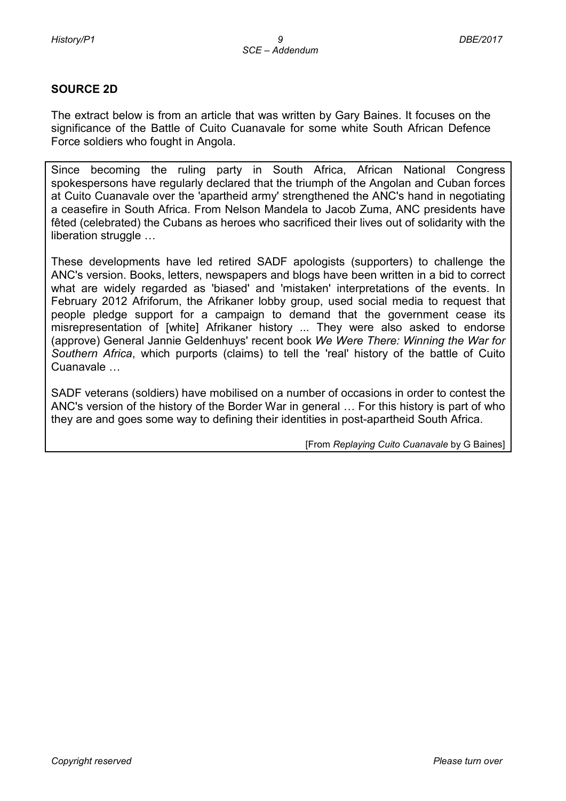#### **SOURCE 2D**

The extract below is from an article that was written by Gary Baines. It focuses on the significance of the Battle of Cuito Cuanavale for some white South African Defence Force soldiers who fought in Angola.

Since becoming the ruling party in South Africa, African National Congress spokespersons have regularly declared that the triumph of the Angolan and Cuban forces at Cuito Cuanavale over the 'apartheid army' strengthened the ANC's hand in negotiating a ceasefire in South Africa. From Nelson Mandela to Jacob Zuma, ANC presidents have fêted (celebrated) the Cubans as heroes who sacrificed their lives out of solidarity with the liberation struggle …

These developments have led retired SADF apologists (supporters) to challenge the ANC's version. Books, letters, newspapers and blogs have been written in a bid to correct what are widely regarded as 'biased' and 'mistaken' interpretations of the events. In February 2012 Afriforum, the Afrikaner lobby group, used social media to request that people pledge support for a campaign to demand that the government cease its misrepresentation of [white] Afrikaner history ... They were also asked to endorse (approve) General Jannie Geldenhuys' recent book *We Were There: Winning the War for Southern Africa*, which purports (claims) to tell the 'real' history of the battle of Cuito Cuanavale …

SADF veterans (soldiers) have mobilised on a number of occasions in order to contest the ANC's version of the history of the Border War in general … For this history is part of who they are and goes some way to defining their identities in post-apartheid South Africa.

[From *Replaying Cuito Cuanavale* by G Baines]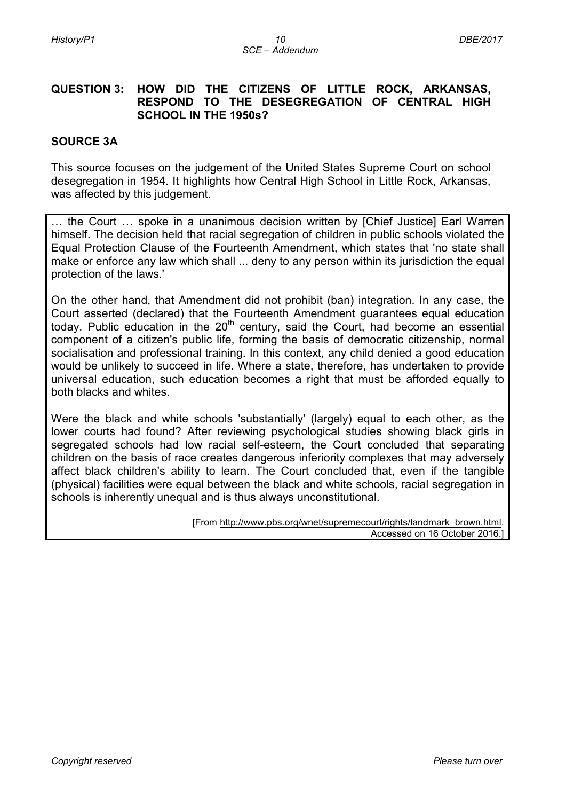#### **QUESTION 3: HOW DID THE CITIZENS OF LITTLE ROCK, ARKANSAS, RESPOND TO THE DESEGREGATION OF CENTRAL HIGH SCHOOL IN THE 1950s?**

#### **SOURCE 3A**

This source focuses on the judgement of the United States Supreme Court on school desegregation in 1954. It highlights how Central High School in Little Rock, Arkansas, was affected by this judgement.

… the Court … spoke in a unanimous decision written by [Chief Justice] Earl Warren himself. The decision held that racial segregation of children in public schools violated the Equal Protection Clause of the Fourteenth Amendment, which states that 'no state shall make or enforce any law which shall ... deny to any person within its jurisdiction the equal protection of the laws.'

On the other hand, that Amendment did not prohibit (ban) integration. In any case, the Court asserted (declared) that the Fourteenth Amendment guarantees equal education today. Public education in the 20<sup>th</sup> century, said the Court, had become an essential component of a citizen's public life, forming the basis of democratic citizenship, normal socialisation and professional training. In this context, any child denied a good education would be unlikely to succeed in life. Where a state, therefore, has undertaken to provide universal education, such education becomes a right that must be afforded equally to both blacks and whites.

Were the black and white schools 'substantially' (largely) equal to each other, as the lower courts had found? After reviewing psychological studies showing black girls in segregated schools had low racial self-esteem, the Court concluded that separating children on the basis of race creates dangerous inferiority complexes that may adversely affect black children's ability to learn. The Court concluded that, even if the tangible (physical) facilities were equal between the black and white schools, racial segregation in schools is inherently unequal and is thus always unconstitutional.

> [From [http://www.pbs.org/wnet/supremecourt/rights/landmark\\_brown.html.](http://www.pbs.org/wnet/supremecourt/rights/landmark_brown.html) Accessed on 16 October 2016.]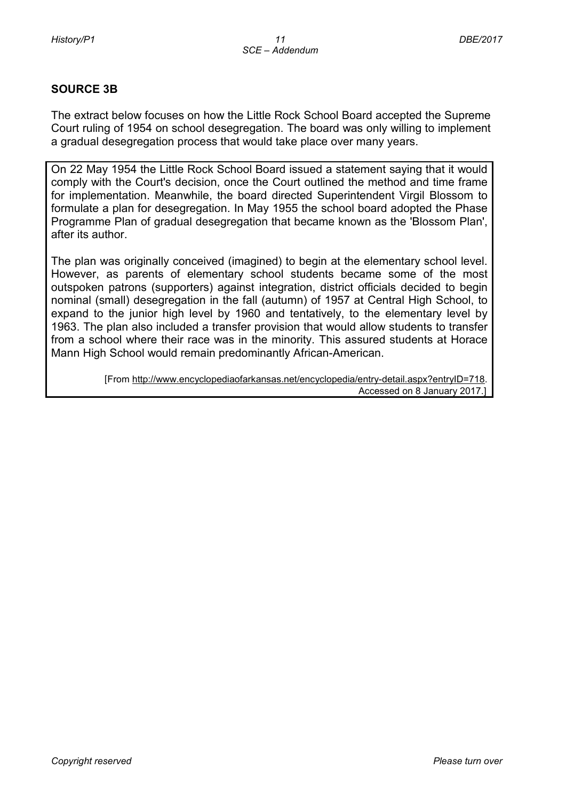#### **SOURCE 3B**

The extract below focuses on how the Little Rock School Board accepted the Supreme Court ruling of 1954 on school desegregation. The board was only willing to implement a gradual desegregation process that would take place over many years.

On 22 May 1954 the Little Rock School Board issued a statement saying that it would comply with the Court's decision, once the Court outlined the method and time frame for implementation. Meanwhile, the board directed Superintendent [Virgil Blossom](http://www.encyclopediaofarkansas.net/encyclopedia/entry-detail.aspx?entryID=5610) to formulate a plan for desegregation. In May 1955 the school board adopted the Phase Programme Plan of gradual desegregation that became known as the 'Blossom Plan', after its author.

The plan was originally conceived (imagined) to begin at the elementary school level. However, as parents of elementary school students became some of the most outspoken patrons (supporters) against integration, district officials decided to begin nominal (small) desegregation in the fall (autumn) of 1957 at Central High School, to expand to the junior high level by 1960 and tentatively, to the elementary level by 1963. The plan also included a transfer provision that would allow students to transfer from a school where their race was in the minority. This assured students at Horace Mann High School would remain predominantly [African-American.](http://www.encyclopediaofarkansas.net/encyclopedia/entry-detail.aspx?entryID=407)

> [From [http://www.encyclopediaofarkansas.net/encyclopedia/entry-detail.aspx?entryID=718.](http://www.encyclopediaofarkansas.net/encyclopedia/entry-detail.aspx?entryID=718) Accessed on 8 January 2017.]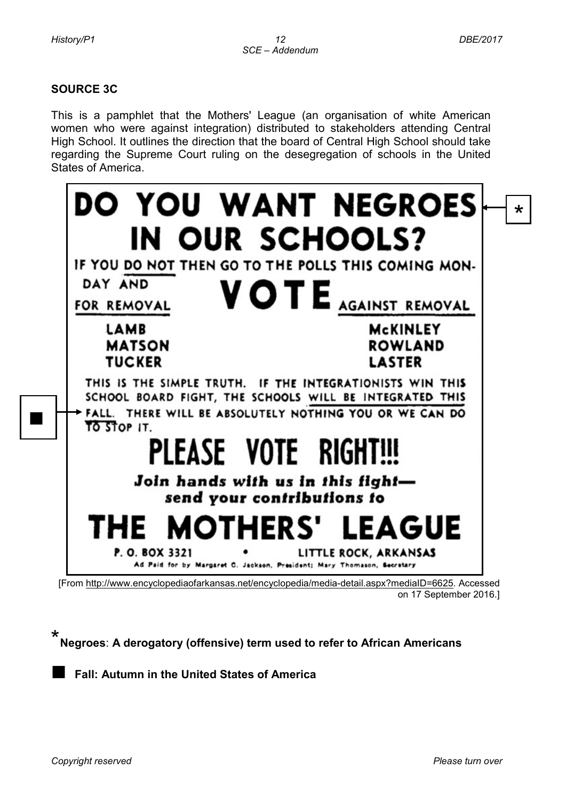■

### **SOURCE 3C**

This is a pamphlet that the Mothers' League (an organisation of white American women who were against integration) distributed to stakeholders attending Central High School. It outlines the direction that the board of Central High School should take regarding the Supreme Court ruling on the desegregation of schools in the United States of America.

|                                                                 | <b>DO YOU WANT NEGROES</b><br>$\star$                                                                                                                                           |
|-----------------------------------------------------------------|---------------------------------------------------------------------------------------------------------------------------------------------------------------------------------|
|                                                                 | IN OUR SCHOOLS?                                                                                                                                                                 |
|                                                                 | IF YOU DO NOT THEN GO TO THE POLLS THIS COMING MON-                                                                                                                             |
| DAY AND                                                         | VOTE AGAINST REMOVAL                                                                                                                                                            |
| FOR REMOVAL                                                     |                                                                                                                                                                                 |
| <b>LAMB</b>                                                     | McKINLEY                                                                                                                                                                        |
| <b>MATSON</b><br><b>TUCKER</b>                                  | <b>ROWLAND</b><br><b>LASTER</b>                                                                                                                                                 |
| TO STOP IT.                                                     | THIS IS THE SIMPLE TRUTH. IF THE INTEGRATIONISTS WIN THIS<br>SCHOOL BOARD FIGHT, THE SCHOOLS WILL BE INTEGRATED THIS<br>FALL. THERE WILL BE ABSOLUTELY NOTHING YOU OR WE CAN DO |
|                                                                 | PLEASE VOTE RIGHT!!!                                                                                                                                                            |
| Join hands with us in this fight-<br>send your contributions to |                                                                                                                                                                                 |
|                                                                 | THE MOTHERS' LEAGUE                                                                                                                                                             |
| P.O. BOX 3321                                                   | LITTLE ROCK, ARKANSAS<br>Ad Paid for by Margaret C. Jackson, President; Mary Thomason, Secretary                                                                                |
|                                                                 | [From http://www.encyclopediaofarkansas.net/encyclopedia/media-detail.aspx?mediaID=6625. Accessed                                                                               |

on 17 September 2016.]

\* **Negroes**: **A derogatory (offensive) term used to refer to African Americans** 

■ **Fall: Autumn in the United States of America**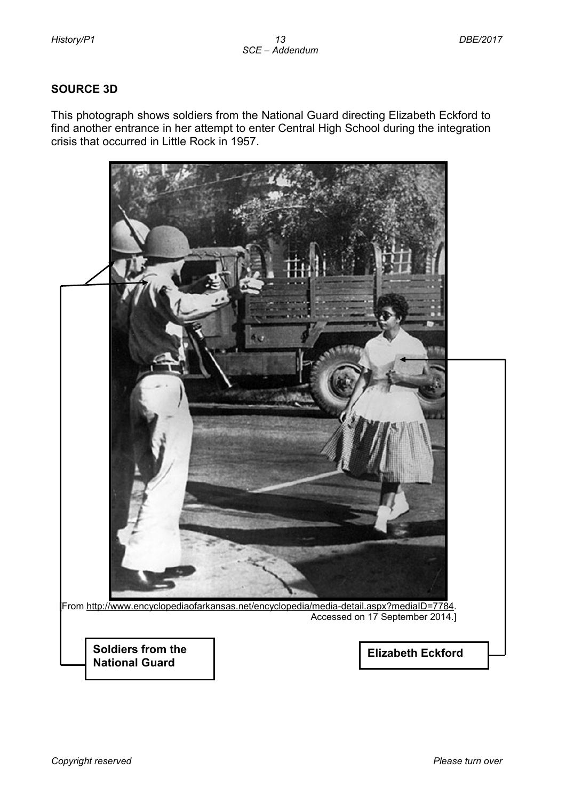#### **SOURCE 3D**

This photograph shows soldiers from the National Guard directing Elizabeth Eckford to find another entrance in her attempt to enter Central High School during the integration crisis that occurred in Little Rock in 1957.